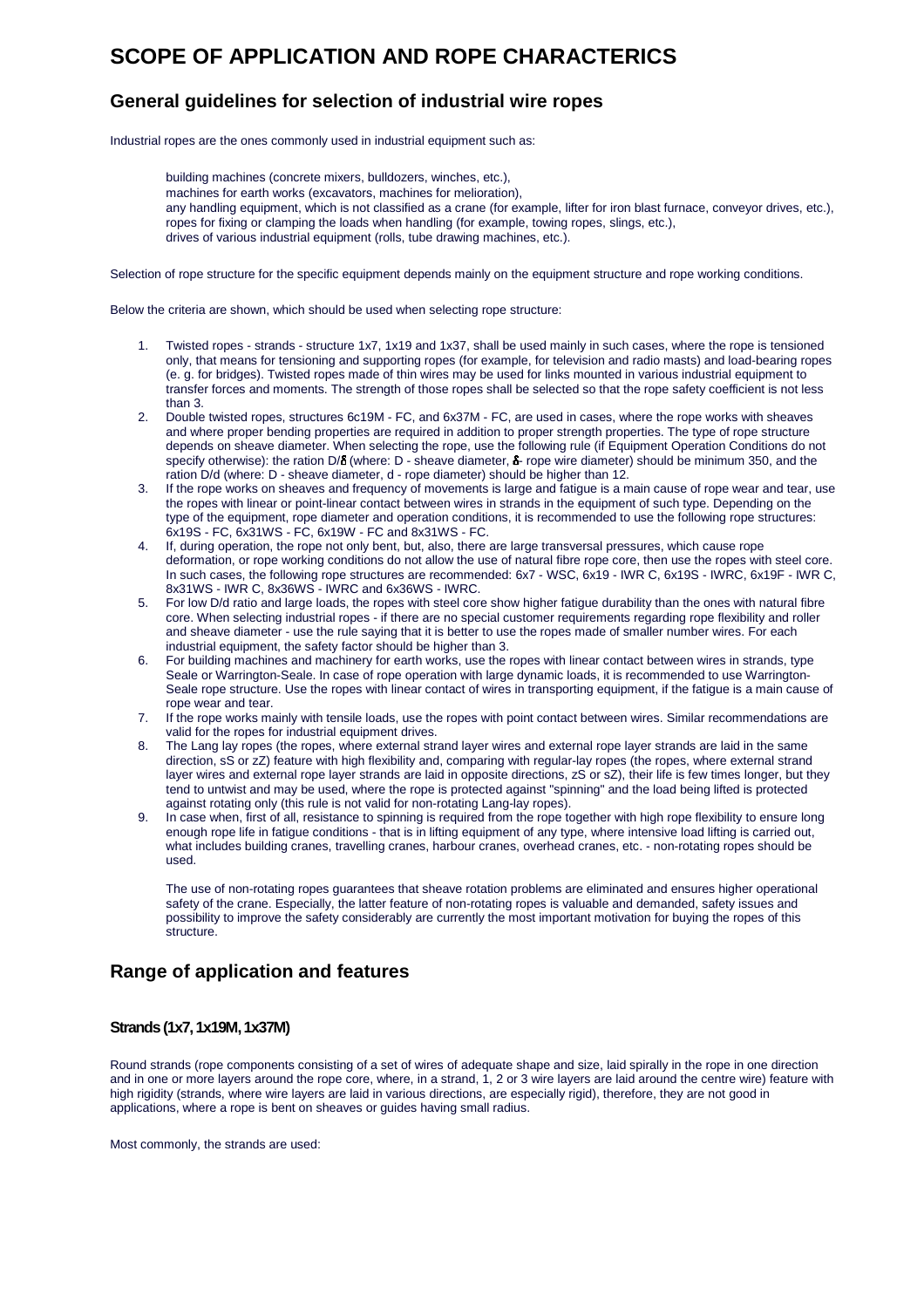# **SCOPE OF APPLICATION AND ROPE CHARACTERICS**

# **General guidelines for selection of industrial wire ropes**

Industrial ropes are the ones commonly used in industrial equipment such as:

building machines (concrete mixers, bulldozers, winches, etc.), machines for earth works (excavators, machines for melioration), any handling equipment, which is not classified as a crane (for example, lifter for iron blast furnace, conveyor drives, etc.), ropes for fixing or clamping the loads when handling (for example, towing ropes, slings, etc.), drives of various industrial equipment (rolls, tube drawing machines, etc.).

Selection of rope structure for the specific equipment depends mainly on the equipment structure and rope working conditions.

Below the criteria are shown, which should be used when selecting rope structure:

- 1. Twisted ropes strands structure 1x7, 1x19 and 1x37, shall be used mainly in such cases, where the rope is tensioned only, that means for tensioning and supporting ropes (for example, for television and radio masts) and load-bearing ropes (e. g. for bridges). Twisted ropes made of thin wires may be used for links mounted in various industrial equipment to transfer forces and moments. The strength of those ropes shall be selected so that the rope safety coefficient is not less than 3.
- 2. Double twisted ropes, structures 6c19M FC, and 6x37M FC, are used in cases, where the rope works with sheaves and where proper bending properties are required in addition to proper strength properties. The type of rope structure depends on sheave diameter. When selecting the rope, use the following rule (if Equipment Operation Conditions do not specify otherwise): the ration D/S (where: D - sheave diameter, S- rope wire diameter) should be minimum 350, and the ration D/d (where: D - sheave diameter, d - rope diameter) should be higher than 12.
- 3. If the rope works on sheaves and frequency of movements is large and fatigue is a main cause of rope wear and tear, use the ropes with linear or point-linear contact between wires in strands in the equipment of such type. Depending on the type of the equipment, rope diameter and operation conditions, it is recommended to use the following rope structures: 6x19S - FC, 6x31WS - FC, 6x19W - FC and 8x31WS - FC.
- 4. If, during operation, the rope not only bent, but, also, there are large transversal pressures, which cause rope deformation, or rope working conditions do not allow the use of natural fibre rope core, then use the ropes with steel core. In such cases, the following rope structures are recommended: 6x7 - WSC, 6x19 - IWR C, 6x19S - IWRC, 6x19F - IWR C, 8x31WS - IWR C, 8x36WS - IWRC and 6x36WS - IWRC.
- 5. For low D/d ratio and large loads, the ropes with steel core show higher fatigue durability than the ones with natural fibre core. When selecting industrial ropes - if there are no special customer requirements regarding rope flexibility and roller and sheave diameter - use the rule saying that it is better to use the ropes made of smaller number wires. For each industrial equipment, the safety factor should be higher than 3.
- 6. For building machines and machinery for earth works, use the ropes with linear contact between wires in strands, type Seale or Warrington-Seale. In case of rope operation with large dynamic loads, it is recommended to use Warrington-Seale rope structure. Use the ropes with linear contact of wires in transporting equipment, if the fatigue is a main cause of rope wear and tear.
- 7. If the rope works mainly with tensile loads, use the ropes with point contact between wires. Similar recommendations are valid for the ropes for industrial equipment drives.
- 8. The Lang lay ropes (the ropes, where external strand layer wires and external rope layer strands are laid in the same direction, sS or zZ) feature with high flexibility and, comparing with regular-lay ropes (the ropes, where external strand layer wires and external rope layer strands are laid in opposite directions, zS or sZ), their life is few times longer, but they tend to untwist and may be used, where the rope is protected against "spinning" and the load being lifted is protected against rotating only (this rule is not valid for non-rotating Lang-lay ropes).
- 9. In case when, first of all, resistance to spinning is required from the rope together with high rope flexibility to ensure long enough rope life in fatigue conditions - that is in lifting equipment of any type, where intensive load lifting is carried out, what includes building cranes, travelling cranes, harbour cranes, overhead cranes, etc. - non-rotating ropes should be used.

The use of non-rotating ropes guarantees that sheave rotation problems are eliminated and ensures higher operational safety of the crane. Especially, the latter feature of non-rotating ropes is valuable and demanded, safety issues and possibility to improve the safety considerably are currently the most important motivation for buying the ropes of this .<br>structure.

# **Range of application and features**

### **Strands (1x7, 1x19M, 1x37M)**

Round strands (rope components consisting of a set of wires of adequate shape and size, laid spirally in the rope in one direction and in one or more layers around the rope core, where, in a strand, 1, 2 or 3 wire layers are laid around the centre wire) feature with high rigidity (strands, where wire layers are laid in various directions, are especially rigid), therefore, they are not good in applications, where a rope is bent on sheaves or guides having small radius.

Most commonly, the strands are used: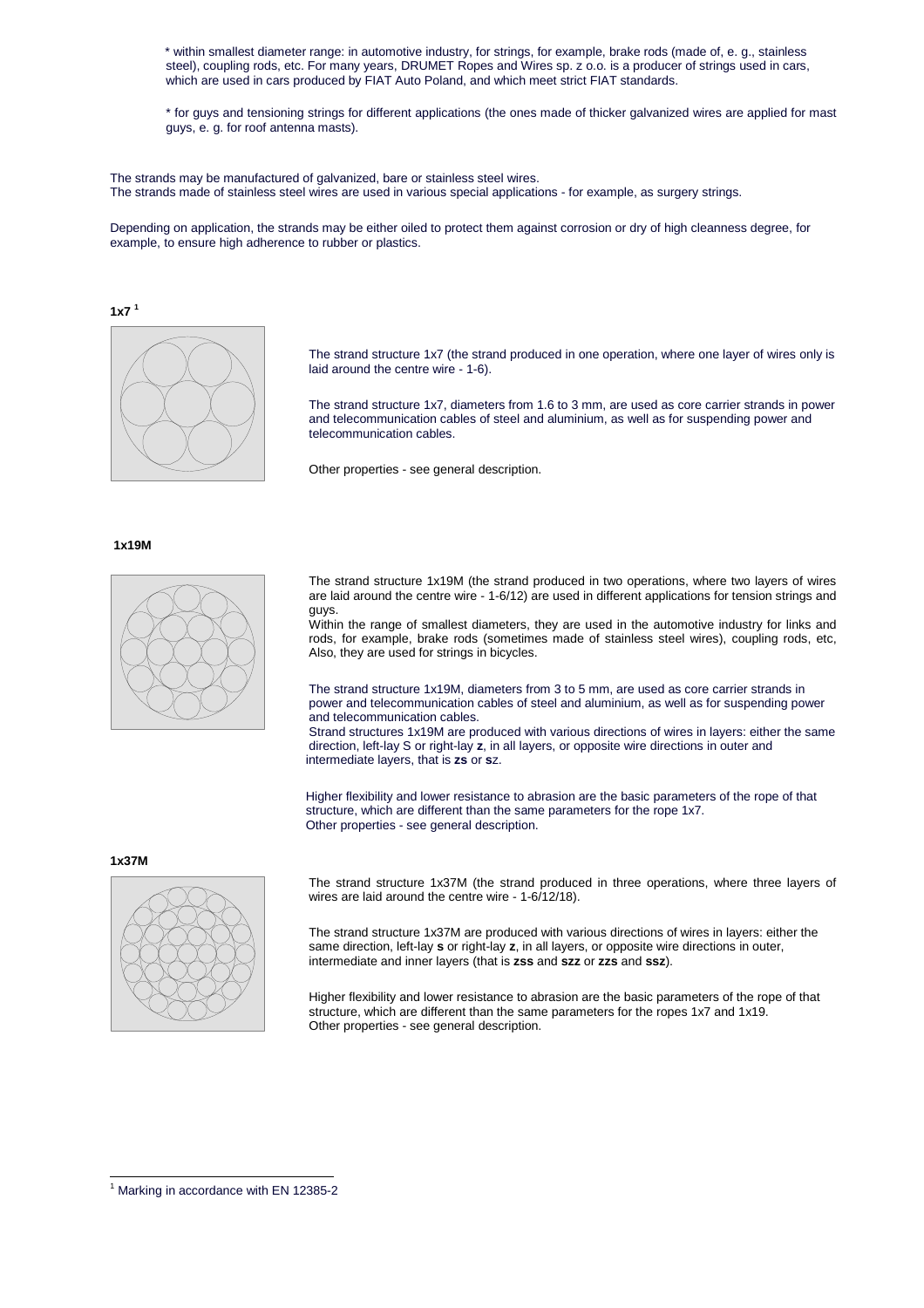\* within smallest diameter range: in automotive industry, for strings, for example, brake rods (made of, e. g., stainless steel), coupling rods, etc. For many years, DRUMET Ropes and Wires sp. z o.o. is a producer of strings used in cars, which are used in cars produced by FIAT Auto Poland, and which meet strict FIAT standards.

\* for guys and tensioning strings for different applications (the ones made of thicker galvanized wires are applied for mast guys, e. g. for roof antenna masts).

The strands may be manufactured of galvanized, bare or stainless steel wires. The strands made of stainless steel wires are used in various special applications - for example, as surgery strings.

Depending on application, the strands may be either oiled to protect them against corrosion or dry of high cleanness degree, for example, to ensure high adherence to rubber or plastics.

 $1x7<sup>1</sup>$ 



The strand structure 1x7 (the strand produced in one operation, where one layer of wires only is laid around the centre wire - 1-6).

The strand structure 1x7, diameters from 1.6 to 3 mm, are used as core carrier strands in power and telecommunication cables of steel and aluminium, as well as for suspending power and telecommunication cables.

Other properties - see general description.

### **1x19M**



The strand structure 1x19M (the strand produced in two operations, where two layers of wires are laid around the centre wire - 1-6/12) are used in different applications for tension strings and guys.

Within the range of smallest diameters, they are used in the automotive industry for links and rods, for example, brake rods (sometimes made of stainless steel wires), coupling rods, etc, Also, they are used for strings in bicycles.

The strand structure 1x19M, diameters from 3 to 5 mm, are used as core carrier strands in power and telecommunication cables of steel and aluminium, as well as for suspending power and telecommunication cables.

Strand structures 1x19M are produced with various directions of wires in layers: either the same direction, left-lay S or right-lay **z**, in all layers, or opposite wire directions in outer and intermediate layers, that is **zs** or **s**z.

Higher flexibility and lower resistance to abrasion are the basic parameters of the rope of that structure, which are different than the same parameters for the rope 1x7. Other properties - see general description.

**1x37M** 

 $\overline{a}$ 



The strand structure 1x37M (the strand produced in three operations, where three layers of wires are laid around the centre wire - 1-6/12/18).

The strand structure 1x37M are produced with various directions of wires in layers: either the same direction, left-lay **s** or right-lay **z**, in all layers, or opposite wire directions in outer, intermediate and inner layers (that is **zss** and **szz** or **zzs** and **ssz**).

Higher flexibility and lower resistance to abrasion are the basic parameters of the rope of that structure, which are different than the same parameters for the ropes 1x7 and 1x19. Other properties - see general description.

<sup>&</sup>lt;sup>1</sup> Marking in accordance with EN 12385-2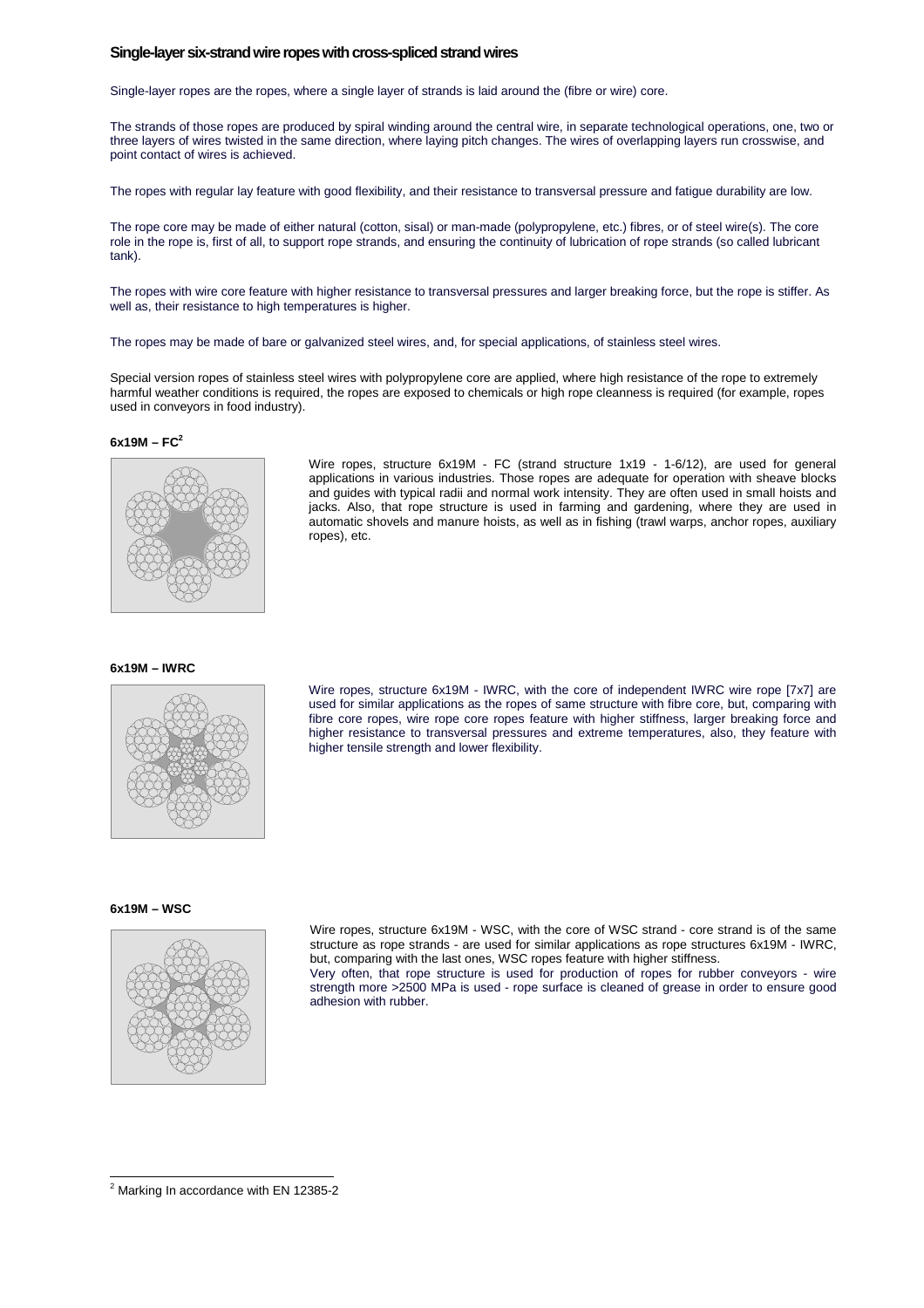### **Single-layer six-strand wire ropes with cross-spliced strand wires**

Single-layer ropes are the ropes, where a single layer of strands is laid around the (fibre or wire) core.

The strands of those ropes are produced by spiral winding around the central wire, in separate technological operations, one, two or three layers of wires twisted in the same direction, where laying pitch changes. The wires of overlapping layers run crosswise, and point contact of wires is achieved.

The ropes with regular lay feature with good flexibility, and their resistance to transversal pressure and fatigue durability are low.

The rope core may be made of either natural (cotton, sisal) or man-made (polypropylene, etc.) fibres, or of steel wire(s). The core role in the rope is, first of all, to support rope strands, and ensuring the continuity of lubrication of rope strands (so called lubricant tank).

The ropes with wire core feature with higher resistance to transversal pressures and larger breaking force, but the rope is stiffer. As well as, their resistance to high temperatures is higher.

The ropes may be made of bare or galvanized steel wires, and, for special applications, of stainless steel wires.

Special version ropes of stainless steel wires with polypropylene core are applied, where high resistance of the rope to extremely harmful weather conditions is required, the ropes are exposed to chemicals or high rope cleanness is required (for example, ropes used in conveyors in food industry).

### **6x19M – FC<sup>2</sup>**



Wire ropes, structure 6x19M - FC (strand structure 1x19 - 1-6/12), are used for general applications in various industries. Those ropes are adequate for operation with sheave blocks and guides with typical radii and normal work intensity. They are often used in small hoists and jacks. Also, that rope structure is used in farming and gardening, where they are used in automatic shovels and manure hoists, as well as in fishing (trawl warps, anchor ropes, auxiliary ropes), etc.

### **6x19M – IWRC**



Wire ropes, structure 6x19M - IWRC, with the core of independent IWRC wire rope [7x7] are used for similar applications as the ropes of same structure with fibre core, but, comparing with fibre core ropes, wire rope core ropes feature with higher stiffness, larger breaking force and higher resistance to transversal pressures and extreme temperatures, also, they feature with higher tensile strength and lower flexibility.

### **6x19M – WSC**

 $\overline{a}$ 



Wire ropes, structure 6x19M - WSC, with the core of WSC strand - core strand is of the same structure as rope strands - are used for similar applications as rope structures 6x19M - IWRC, but, comparing with the last ones, WSC ropes feature with higher stiffness.

Very often, that rope structure is used for production of ropes for rubber conveyors - wire strength more >2500 MPa is used - rope surface is cleaned of grease in order to ensure good adhesion with rubber.

 $2$  Marking In accordance with EN 12385-2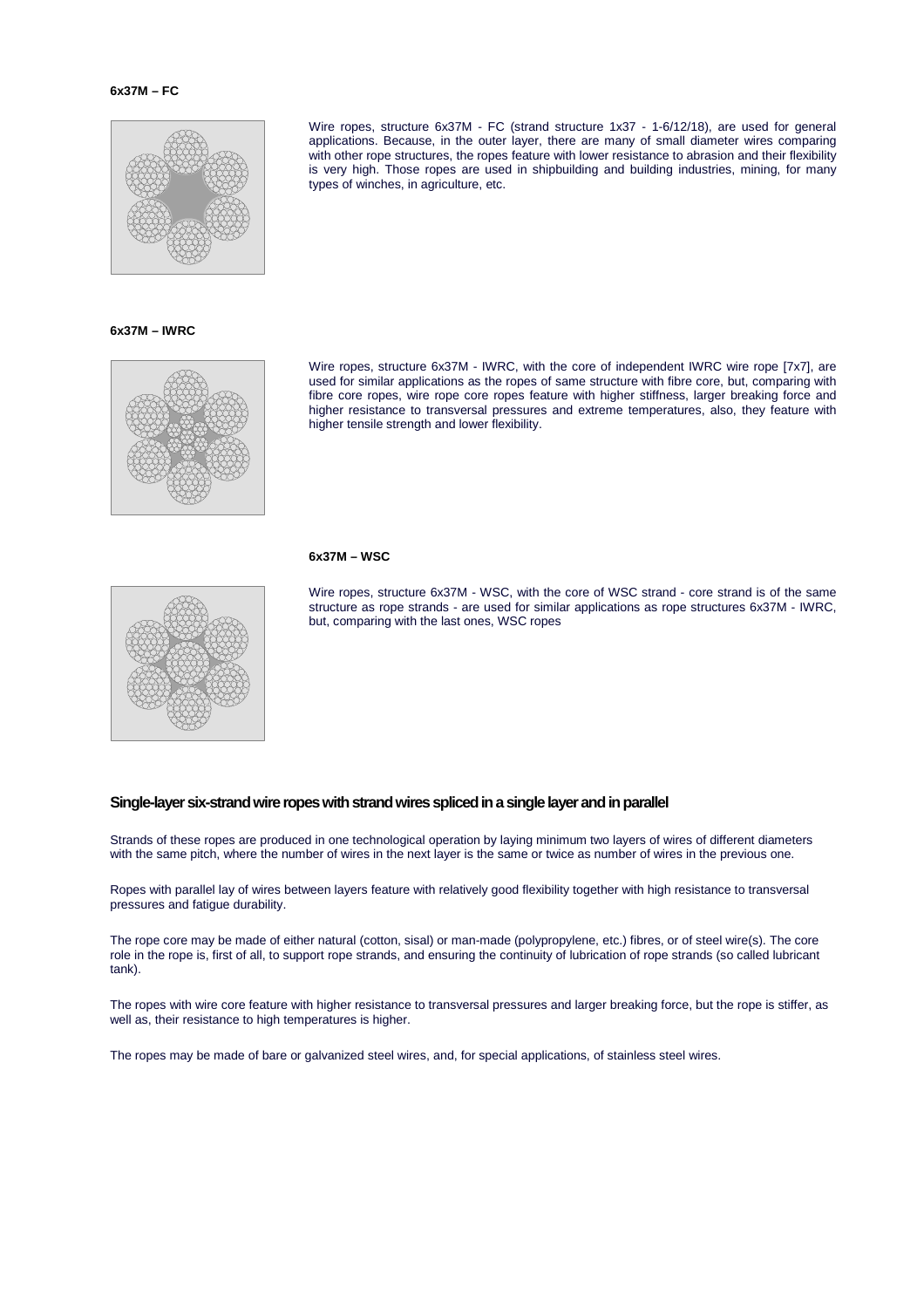### **6x37M – FC**



**6x37M – IWRC** 



Wire ropes, structure 6x37M - FC (strand structure 1x37 - 1-6/12/18), are used for general applications. Because, in the outer layer, there are many of small diameter wires comparing with other rope structures, the ropes feature with lower resistance to abrasion and their flexibility is very high. Those ropes are used in shipbuilding and building industries, mining, for many types of winches, in agriculture, etc.

Wire ropes, structure 6x37M - IWRC, with the core of independent IWRC wire rope [7x7], are used for similar applications as the ropes of same structure with fibre core, but, comparing with fibre core ropes, wire rope core ropes feature with higher stiffness, larger breaking force and higher resistance to transversal pressures and extreme temperatures, also, they feature with higher tensile strength and lower flexibility.

### **6x37M – WSC**



Wire ropes, structure 6x37M - WSC, with the core of WSC strand - core strand is of the same structure as rope strands - are used for similar applications as rope structures 6x37M - IWRC, but, comparing with the last ones, WSC ropes

### **Single-layer six-strand wire ropes with strand wires spliced in a single layer and in parallel**

Strands of these ropes are produced in one technological operation by laying minimum two layers of wires of different diameters with the same pitch, where the number of wires in the next layer is the same or twice as number of wires in the previous one.

Ropes with parallel lay of wires between layers feature with relatively good flexibility together with high resistance to transversal pressures and fatigue durability.

The rope core may be made of either natural (cotton, sisal) or man-made (polypropylene, etc.) fibres, or of steel wire(s). The core role in the rope is, first of all, to support rope strands, and ensuring the continuity of lubrication of rope strands (so called lubricant tank).

The ropes with wire core feature with higher resistance to transversal pressures and larger breaking force, but the rope is stiffer, as well as, their resistance to high temperatures is higher.

The ropes may be made of bare or galvanized steel wires, and, for special applications, of stainless steel wires.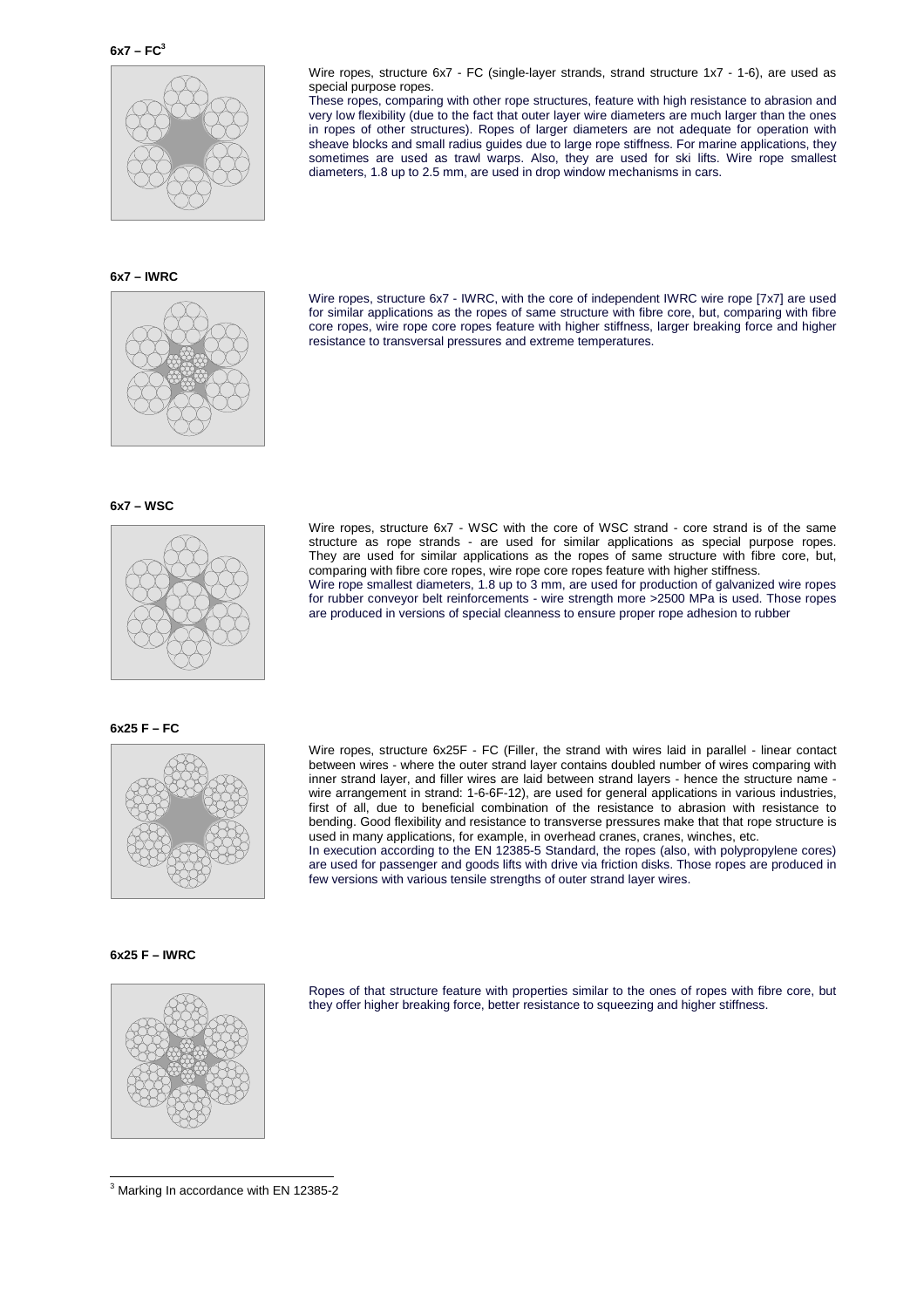

special purpose ropes.

**6x7 – IWRC** 



Wire ropes, structure 6x7 - IWRC, with the core of independent IWRC wire rope [7x7] are used for similar applications as the ropes of same structure with fibre core, but, comparing with fibre core ropes, wire rope core ropes feature with higher stiffness, larger breaking force and higher resistance to transversal pressures and extreme temperatures.

Wire ropes, structure 6x7 - FC (single-layer strands, strand structure 1x7 - 1-6), are used as

These ropes, comparing with other rope structures, feature with high resistance to abrasion and very low flexibility (due to the fact that outer layer wire diameters are much larger than the ones in ropes of other structures). Ropes of larger diameters are not adequate for operation with sheave blocks and small radius guides due to large rope stiffness. For marine applications, they sometimes are used as trawl warps. Also, they are used for ski lifts. Wire rope smallest

diameters, 1.8 up to 2.5 mm, are used in drop window mechanisms in cars.





Wire ropes, structure 6x7 - WSC with the core of WSC strand - core strand is of the same structure as rope strands - are used for similar applications as special purpose ropes. They are used for similar applications as the ropes of same structure with fibre core, but, comparing with fibre core ropes, wire rope core ropes feature with higher stiffness. Wire rope smallest diameters, 1.8 up to 3 mm, are used for production of galvanized wire ropes for rubber conveyor belt reinforcements - wire strength more >2500 MPa is used. Those ropes

are produced in versions of special cleanness to ensure proper rope adhesion to rubber

### **6x25 F – FC**



Wire ropes, structure 6x25F - FC (Filler, the strand with wires laid in parallel - linear contact between wires - where the outer strand layer contains doubled number of wires comparing with inner strand layer, and filler wires are laid between strand layers - hence the structure name wire arrangement in strand: 1-6-6F-12), are used for general applications in various industries, first of all, due to beneficial combination of the resistance to abrasion with resistance to bending. Good flexibility and resistance to transverse pressures make that that rope structure is used in many applications, for example, in overhead cranes, cranes, winches, etc. In execution according to the EN 12385-5 Standard, the ropes (also, with polypropylene cores) are used for passenger and goods lifts with drive via friction disks. Those ropes are produced in

few versions with various tensile strengths of outer strand layer wires.

### **6x25 F – IWRC**

 $\overline{a}$ 



Ropes of that structure feature with properties similar to the ones of ropes with fibre core, but they offer higher breaking force, better resistance to squeezing and higher stiffness.

 $3$  Marking In accordance with EN 12385-2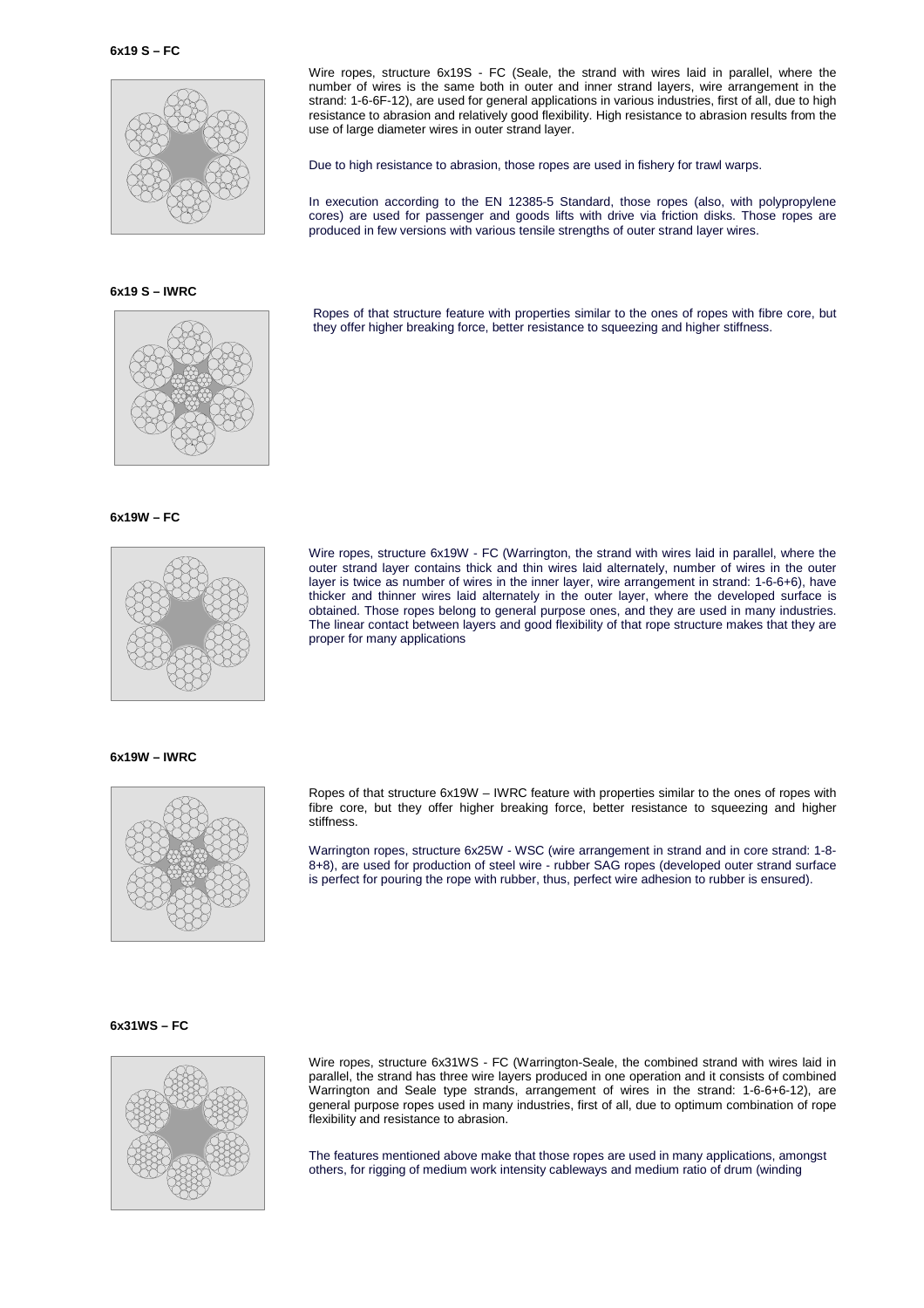

**6x19 S – IWRC** 



### **6x19W – FC**



### layer is twice as number of wires in the inner layer, wire arrangement in strand: 1-6-6+6), have thicker and thinner wires laid alternately in the outer layer, where the developed surface is obtained. Those ropes belong to general purpose ones, and they are used in many industries. The linear contact between layers and good flexibility of that rope structure makes that they are proper for many applications

Wire ropes, structure 6x19W - FC (Warrington, the strand with wires laid in parallel, where the outer strand layer contains thick and thin wires laid alternately, number of wires in the outer

Wire ropes, structure 6x19S - FC (Seale, the strand with wires laid in parallel, where the number of wires is the same both in outer and inner strand layers, wire arrangement in the strand: 1-6-6F-12), are used for general applications in various industries, first of all, due to high resistance to abrasion and relatively good flexibility. High resistance to abrasion results from the

In execution according to the EN 12385-5 Standard, those ropes (also, with polypropylene cores) are used for passenger and goods lifts with drive via friction disks. Those ropes are

Ropes of that structure feature with properties similar to the ones of ropes with fibre core, but

Due to high resistance to abrasion, those ropes are used in fishery for trawl warps.

produced in few versions with various tensile strengths of outer strand layer wires.

they offer higher breaking force, better resistance to squeezing and higher stiffness.

use of large diameter wires in outer strand layer.

### **6x19W – IWRC**



Ropes of that structure 6x19W – IWRC feature with properties similar to the ones of ropes with fibre core, but they offer higher breaking force, better resistance to squeezing and higher stiffness.

Warrington ropes, structure 6x25W - WSC (wire arrangement in strand and in core strand: 1-8- 8+8), are used for production of steel wire - rubber SAG ropes (developed outer strand surface is perfect for pouring the rope with rubber, thus, perfect wire adhesion to rubber is ensured).

### **6x31WS – FC**



Wire ropes, structure 6x31WS - FC (Warrington-Seale, the combined strand with wires laid in parallel, the strand has three wire layers produced in one operation and it consists of combined Warrington and Seale type strands, arrangement of wires in the strand: 1-6-6+6-12), are general purpose ropes used in many industries, first of all, due to optimum combination of rope flexibility and resistance to abrasion.

The features mentioned above make that those ropes are used in many applications, amongst others, for rigging of medium work intensity cableways and medium ratio of drum (winding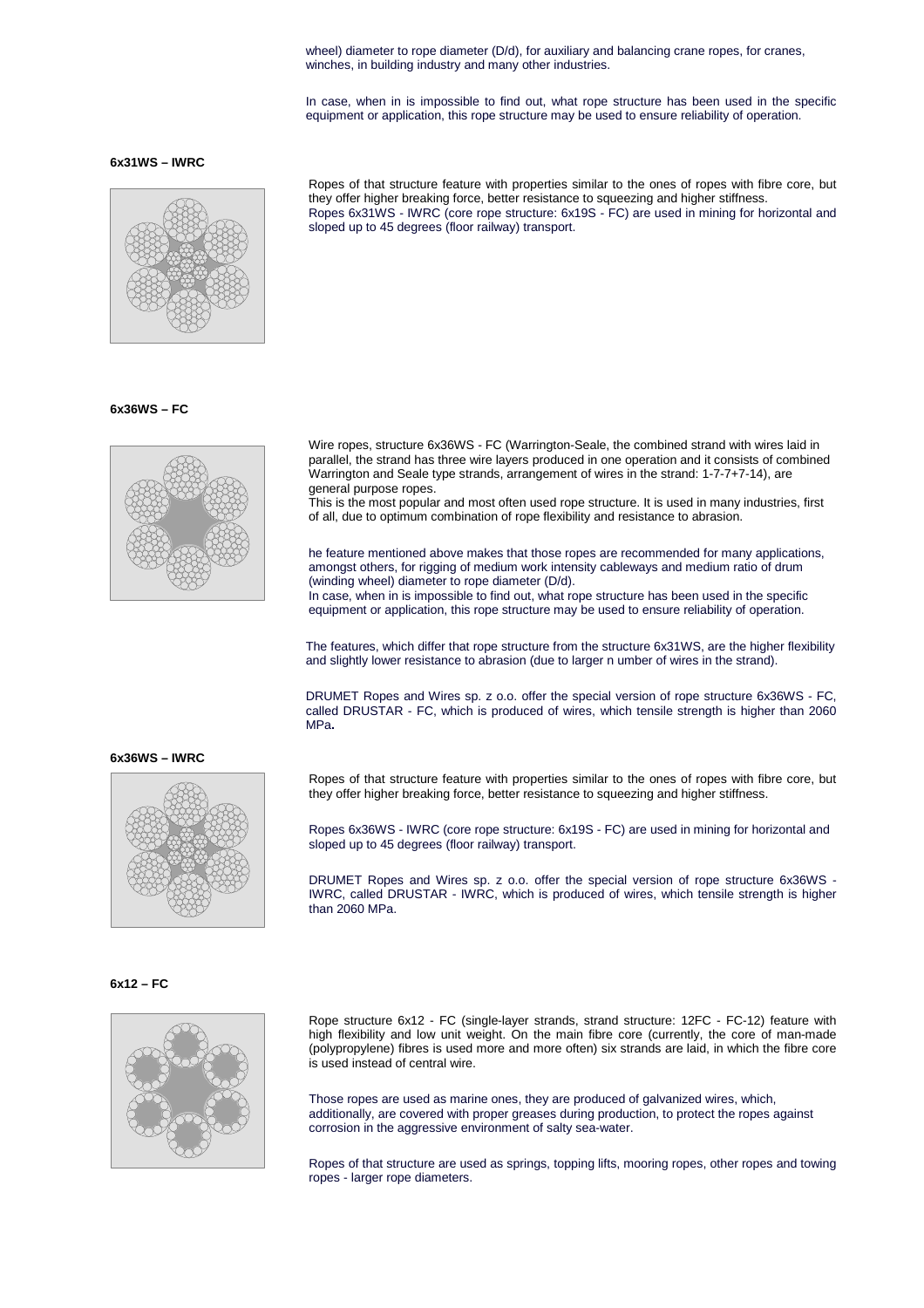wheel) diameter to rope diameter (D/d), for auxiliary and balancing crane ropes, for cranes, winches, in building industry and many other industries.

In case, when in is impossible to find out, what rope structure has been used in the specific equipment or application, this rope structure may be used to ensure reliability of operation.

### **6x31WS – IWRC**



### **6x36WS – FC**



Ropes of that structure feature with properties similar to the ones of ropes with fibre core, but they offer higher breaking force, better resistance to squeezing and higher stiffness. Ropes 6x31WS - IWRC (core rope structure: 6x19S - FC) are used in mining for horizontal and sloped up to 45 degrees (floor railway) transport.

Wire ropes, structure 6x36WS - FC (Warrington-Seale, the combined strand with wires laid in parallel, the strand has three wire layers produced in one operation and it consists of combined Warrington and Seale type strands, arrangement of wires in the strand: 1-7-7+7-14), are general purpose ropes.

This is the most popular and most often used rope structure. It is used in many industries, first of all, due to optimum combination of rope flexibility and resistance to abrasion.

he feature mentioned above makes that those ropes are recommended for many applications, amongst others, for rigging of medium work intensity cableways and medium ratio of drum (winding wheel) diameter to rope diameter (D/d).

In case, when in is impossible to find out, what rope structure has been used in the specific equipment or application, this rope structure may be used to ensure reliability of operation.

The features, which differ that rope structure from the structure 6x31WS, are the higher flexibility and slightly lower resistance to abrasion (due to larger n umber of wires in the strand).

DRUMET Ropes and Wires sp. z o.o. offer the special version of rope structure 6x36WS - FC, called DRUSTAR - FC, which is produced of wires, which tensile strength is higher than 2060 MPa**.**

### **6x36WS – IWRC**



Ropes of that structure feature with properties similar to the ones of ropes with fibre core, but they offer higher breaking force, better resistance to squeezing and higher stiffness.

Ropes 6x36WS - IWRC (core rope structure: 6x19S - FC) are used in mining for horizontal and sloped up to 45 degrees (floor railway) transport.

DRUMET Ropes and Wires sp. z o.o. offer the special version of rope structure 6x36WS - IWRC, called DRUSTAR - IWRC, which is produced of wires, which tensile strength is higher than 2060 MPa.

**6x12 – FC** 



Rope structure 6x12 - FC (single-layer strands, strand structure: 12FC - FC-12) feature with high flexibility and low unit weight. On the main fibre core (currently, the core of man-made (polypropylene) fibres is used more and more often) six strands are laid, in which the fibre core is used instead of central wire.

Those ropes are used as marine ones, they are produced of galvanized wires, which, additionally, are covered with proper greases during production, to protect the ropes against corrosion in the aggressive environment of salty sea-water.

Ropes of that structure are used as springs, topping lifts, mooring ropes, other ropes and towing ropes - larger rope diameters.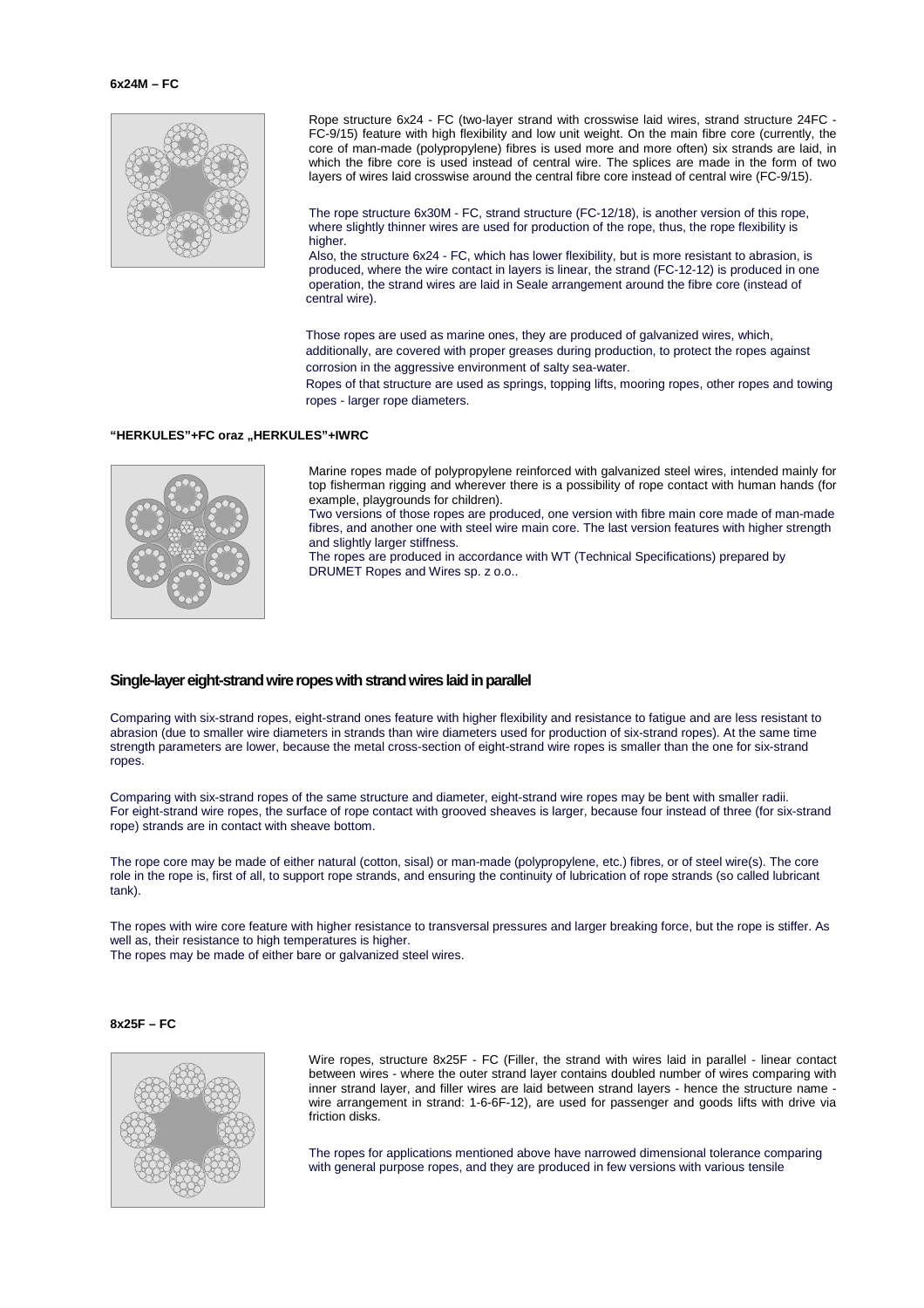

Rope structure 6x24 - FC (two-layer strand with crosswise laid wires, strand structure 24FC - FC-9/15) feature with high flexibility and low unit weight. On the main fibre core (currently, the core of man-made (polypropylene) fibres is used more and more often) six strands are laid, in which the fibre core is used instead of central wire. The splices are made in the form of two layers of wires laid crosswise around the central fibre core instead of central wire (FC-9/15).

The rope structure 6x30M - FC, strand structure (FC-12/18), is another version of this rope, where slightly thinner wires are used for production of the rope, thus, the rope flexibility is higher

Also, the structure 6x24 - FC, which has lower flexibility, but is more resistant to abrasion, is produced, where the wire contact in layers is linear, the strand (FC-12-12) is produced in one operation, the strand wires are laid in Seale arrangement around the fibre core (instead of central wire).

Those ropes are used as marine ones, they are produced of galvanized wires, which, additionally, are covered with proper greases during production, to protect the ropes against corrosion in the aggressive environment of salty sea-water.

Ropes of that structure are used as springs, topping lifts, mooring ropes, other ropes and towing ropes - larger rope diameters.

### "HERKULES"+FC oraz "HERKULES"+IWRC



Marine ropes made of polypropylene reinforced with galvanized steel wires, intended mainly for top fisherman rigging and wherever there is a possibility of rope contact with human hands (for example, playgrounds for children).

Two versions of those ropes are produced, one version with fibre main core made of man-made fibres, and another one with steel wire main core. The last version features with higher strength and slightly larger stiffness.

The ropes are produced in accordance with WT (Technical Specifications) prepared by DRUMET Ropes and Wires sp. z o.o..

### **Single-layer eight-strand wire ropes with strand wires laid in parallel**

Comparing with six-strand ropes, eight-strand ones feature with higher flexibility and resistance to fatigue and are less resistant to abrasion (due to smaller wire diameters in strands than wire diameters used for production of six-strand ropes). At the same time strength parameters are lower, because the metal cross-section of eight-strand wire ropes is smaller than the one for six-strand ropes.

Comparing with six-strand ropes of the same structure and diameter, eight-strand wire ropes may be bent with smaller radii. For eight-strand wire ropes, the surface of rope contact with grooved sheaves is larger, because four instead of three (for six-strand rope) strands are in contact with sheave bottom.

The rope core may be made of either natural (cotton, sisal) or man-made (polypropylene, etc.) fibres, or of steel wire(s). The core role in the rope is, first of all, to support rope strands, and ensuring the continuity of lubrication of rope strands (so called lubricant tank).

The ropes with wire core feature with higher resistance to transversal pressures and larger breaking force, but the rope is stiffer. As well as, their resistance to high temperatures is higher. The ropes may be made of either bare or galvanized steel wires.

### **8x25F – FC**



Wire ropes, structure 8x25F - FC (Filler, the strand with wires laid in parallel - linear contact between wires - where the outer strand layer contains doubled number of wires comparing with inner strand layer, and filler wires are laid between strand layers - hence the structure name wire arrangement in strand: 1-6-6F-12), are used for passenger and goods lifts with drive via friction disks.

The ropes for applications mentioned above have narrowed dimensional tolerance comparing with general purpose ropes, and they are produced in few versions with various tensile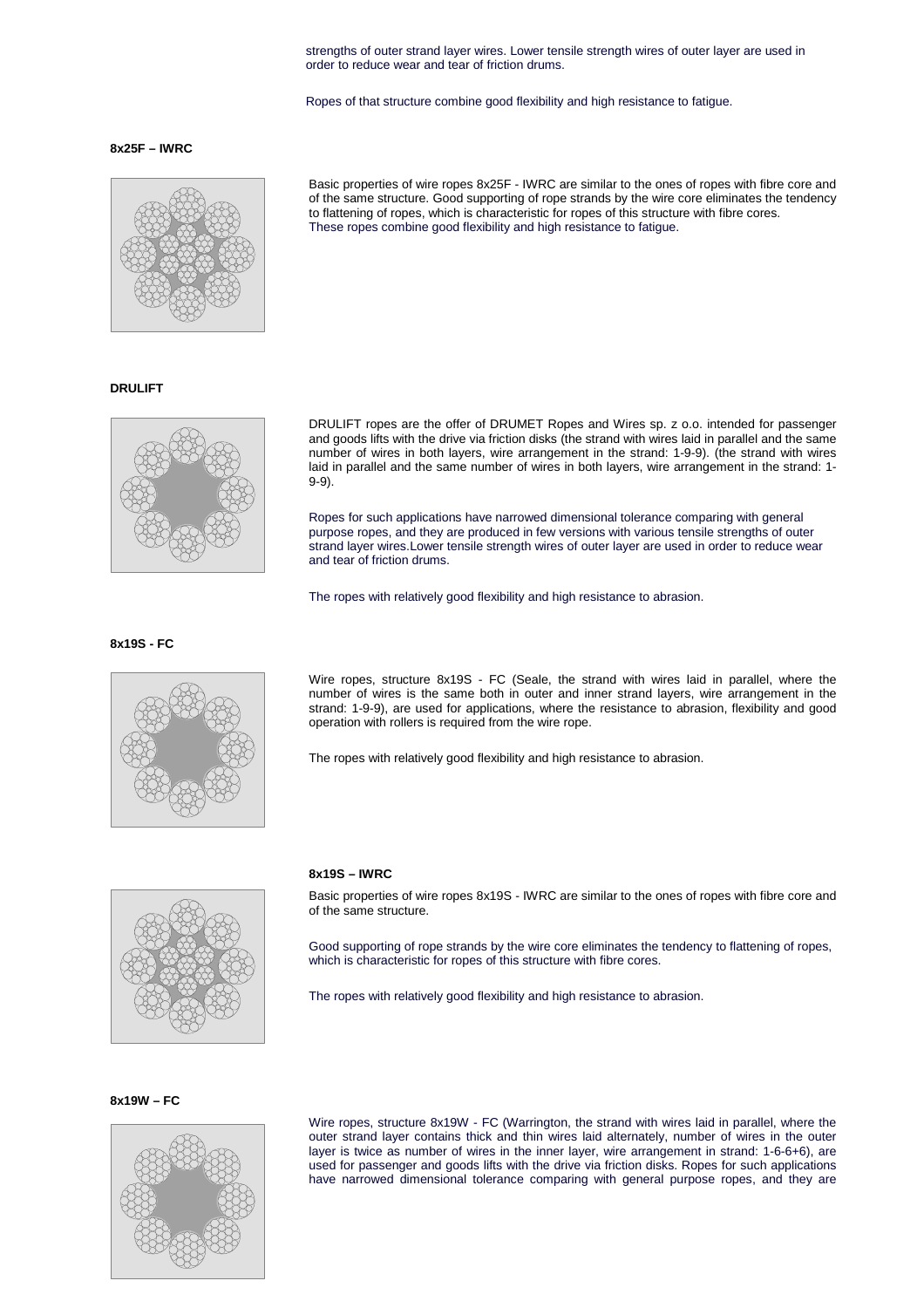strengths of outer strand layer wires. Lower tensile strength wires of outer layer are used in order to reduce wear and tear of friction drums.

Ropes of that structure combine good flexibility and high resistance to fatigue.

### **8x25F – IWRC**



**DRULIFT**



Basic properties of wire ropes 8x25F - IWRC are similar to the ones of ropes with fibre core and of the same structure. Good supporting of rope strands by the wire core eliminates the tendency to flattening of ropes, which is characteristic for ropes of this structure with fibre cores. These ropes combine good flexibility and high resistance to fatigue.

DRULIFT ropes are the offer of DRUMET Ropes and Wires sp. z o.o. intended for passenger and goods lifts with the drive via friction disks (the strand with wires laid in parallel and the same number of wires in both layers, wire arrangement in the strand: 1-9-9). (the strand with wires laid in parallel and the same number of wires in both layers, wire arrangement in the strand: 1- 9-9).

Ropes for such applications have narrowed dimensional tolerance comparing with general purpose ropes, and they are produced in few versions with various tensile strengths of outer strand layer wires.Lower tensile strength wires of outer layer are used in order to reduce wear and tear of friction drums.

The ropes with relatively good flexibility and high resistance to abrasion.

**8x19S - FC**



Wire ropes, structure 8x19S - FC (Seale, the strand with wires laid in parallel, where the number of wires is the same both in outer and inner strand layers, wire arrangement in the strand: 1-9-9), are used for applications, where the resistance to abrasion, flexibility and good operation with rollers is required from the wire rope.

The ropes with relatively good flexibility and high resistance to abrasion.



### **8x19S – IWRC**

Basic properties of wire ropes 8x19S - IWRC are similar to the ones of ropes with fibre core and of the same structure.

Good supporting of rope strands by the wire core eliminates the tendency to flattening of ropes, which is characteristic for ropes of this structure with fibre cores.

The ropes with relatively good flexibility and high resistance to abrasion.

**8x19W – FC** 



Wire ropes, structure 8x19W - FC (Warrington, the strand with wires laid in parallel, where the outer strand layer contains thick and thin wires laid alternately, number of wires in the outer layer is twice as number of wires in the inner layer, wire arrangement in strand: 1-6-6+6), are used for passenger and goods lifts with the drive via friction disks. Ropes for such applications have narrowed dimensional tolerance comparing with general purpose ropes, and they are